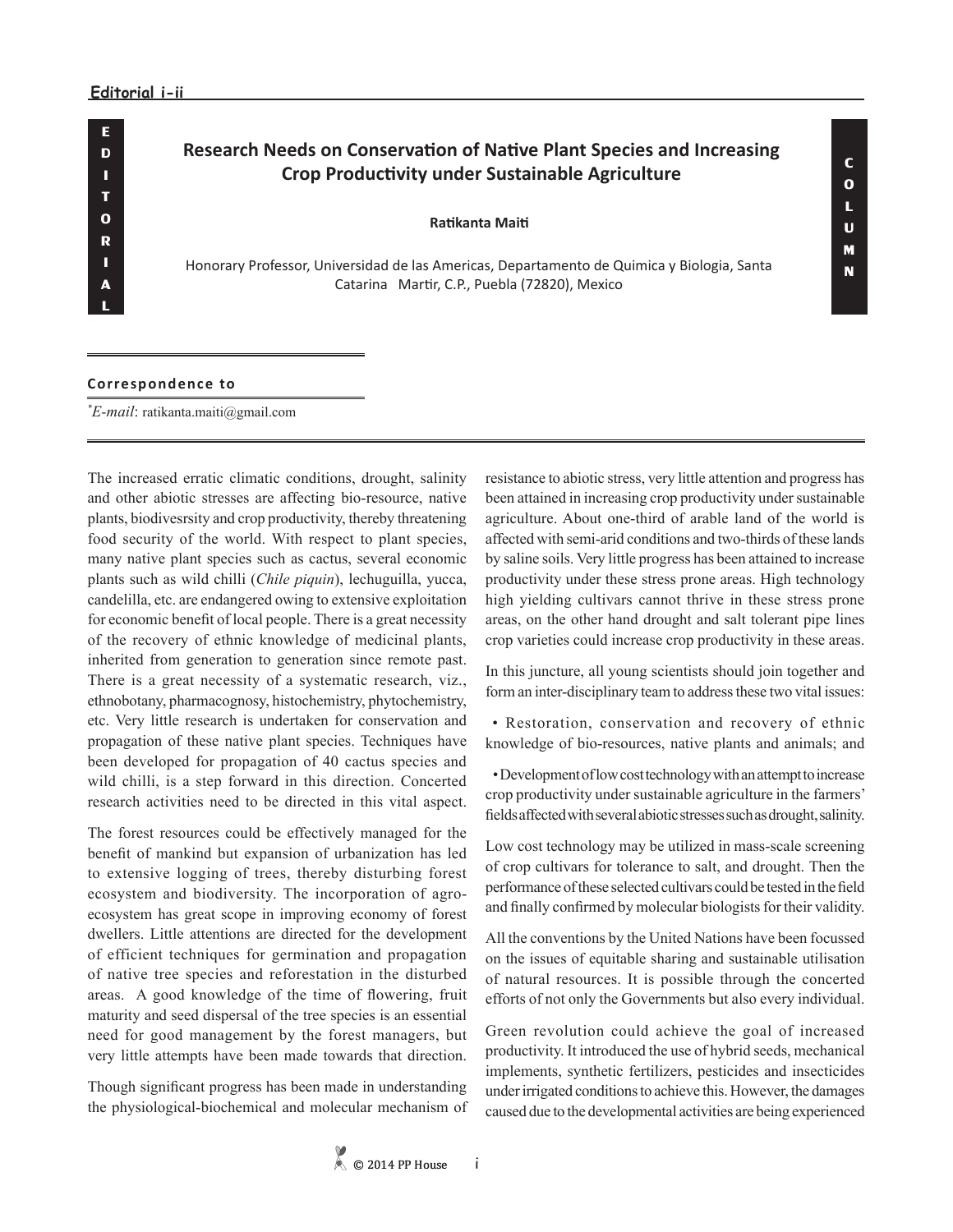## **Research Needs on Conservation of Native Plant Species and Increasing Crop Productivity under Sustainable Agriculture**

## **Ratikanta Maiti**

Honorary Professor, Universidad de las Americas, Departamento de Quimica y Biologia, Santa Catarina Martir, C.P., Puebla (72820), Mexico

## **Correspondence to**

*\* E-mail*: ratikanta.maiti@gmail.com

The increased erratic climatic conditions, drought, salinity and other abiotic stresses are affecting bio-resource, native plants, biodivesrsity and crop productivity, thereby threatening food security of the world. With respect to plant species, many native plant species such as cactus, several economic plants such as wild chilli (*Chile piquin*), lechuguilla, yucca, candelilla, etc. are endangered owing to extensive exploitation for economic benefit of local people. There is a great necessity of the recovery of ethnic knowledge of medicinal plants, inherited from generation to generation since remote past. There is a great necessity of a systematic research, viz., ethnobotany, pharmacognosy, histochemistry, phytochemistry, etc. Very little research is undertaken for conservation and propagation of these native plant species. Techniques have been developed for propagation of 40 cactus species and wild chilli, is a step forward in this direction. Concerted research activities need to be directed in this vital aspect.

The forest resources could be effectively managed for the benefit of mankind but expansion of urbanization has led to extensive logging of trees, thereby disturbing forest ecosystem and biodiversity. The incorporation of agroecosystem has great scope in improving economy of forest dwellers. Little attentions are directed for the development of efficient techniques for germination and propagation of native tree species and reforestation in the disturbed areas. A good knowledge of the time of flowering, fruit maturity and seed dispersal of the tree species is an essential need for good management by the forest managers, but very little attempts have been made towards that direction.

Though significant progress has been made in understanding the physiological-biochemical and molecular mechanism of resistance to abiotic stress, very little attention and progress has been attained in increasing crop productivity under sustainable agriculture. About one-third of arable land of the world is affected with semi-arid conditions and two-thirds of these lands by saline soils. Very little progress has been attained to increase productivity under these stress prone areas. High technology high yielding cultivars cannot thrive in these stress prone areas, on the other hand drought and salt tolerant pipe lines crop varieties could increase crop productivity in these areas.

In this juncture, all young scientists should join together and form an inter-disciplinary team to address these two vital issues:

 • Restoration, conservation and recovery of ethnic knowledge of bio-resources, native plants and animals; and

 • Development of low cost technology with an attempt to increase crop productivity under sustainable agriculture in the farmers' fields affected with several abiotic stresses such as drought, salinity.

Low cost technology may be utilized in mass-scale screening of crop cultivars for tolerance to salt, and drought. Then the performance of these selected cultivars could be tested in the field and finally confirmed by molecular biologists for their validity.

All the conventions by the United Nations have been focussed on the issues of equitable sharing and sustainable utilisation of natural resources. It is possible through the concerted efforts of not only the Governments but also every individual.

Green revolution could achieve the goal of increased productivity. It introduced the use of hybrid seeds, mechanical implements, synthetic fertilizers, pesticides and insecticides under irrigated conditions to achieve this. However, the damages caused due to the developmental activities are being experienced

i